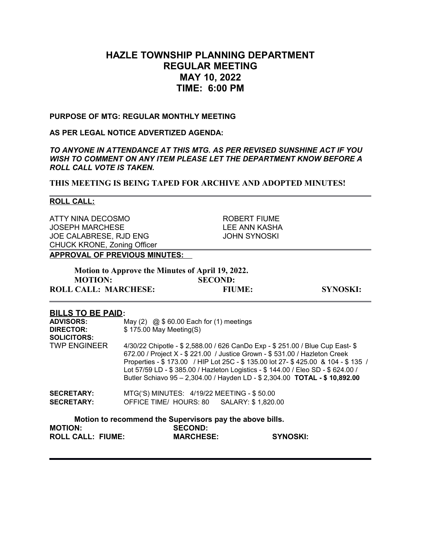# **HAZLE TOWNSHIP PLANNING DEPARTMENT REGULAR MEETING MAY 10, 2022 TIME: 6:00 PM**

### **PURPOSE OF MTG: REGULAR MONTHLY MEETING**

### **AS PER LEGAL NOTICE ADVERTIZED AGENDA:**

*TO ANYONE IN ATTENDANCE AT THIS MTG. AS PER REVISED SUNSHINE ACT IF YOU WISH TO COMMENT ON ANY ITEM PLEASE LET THE DEPARTMENT KNOW BEFORE A ROLL CALL VOTE IS TAKEN.*

**THIS MEETING IS BEING TAPED FOR ARCHIVE AND ADOPTED MINUTES!**

#### **ROLL CALL:**

ATTY NINA DECOSMO ROBERT FIUME JOSEPH MARCHESE LEE ANN KASHA JOE CALABRESE, RJD ENG JOHN SYNOSKI CHUCK KRONE, Zoning Officer

### **APPROVAL OF PREVIOUS MINUTES:**

| Motion to Approve the Minutes of April 19, 2022. |                |                 |
|--------------------------------------------------|----------------|-----------------|
| <b>MOTION:</b>                                   | <b>SECOND:</b> |                 |
| <b>ROLL CALL: MARCHESE:</b>                      | <b>FIUME:</b>  | <b>SYNOSKI:</b> |

### **BILLS TO BE PAID:**

| <b>ADVISORS:</b><br><b>DIRECTOR:</b><br><b>SOLICITORS:</b> | May (2) $\omega$ \$ 60.00 Each for (1) meetings<br>\$175.00 May Meeting(S)                                                                                                                                                                                                                                                                                                                                           |
|------------------------------------------------------------|----------------------------------------------------------------------------------------------------------------------------------------------------------------------------------------------------------------------------------------------------------------------------------------------------------------------------------------------------------------------------------------------------------------------|
| <b>TWP ENGINEER</b>                                        | 4/30/22 Chipotle - \$ 2,588.00 / 626 CanDo Exp - \$ 251.00 / Blue Cup East- \$<br>672.00 / Project X - \$ 221.00 / Justice Grown - \$ 531.00 / Hazleton Creek<br>Properties - \$173.00 / HIP Lot 25C - \$135.00 lot 27- \$425.00 & 104 - \$135 /<br>Lot 57/59 LD - \$ 385.00 / Hazleton Logistics - \$ 144.00 / Eleo SD - \$ 624.00 /<br>Butler Schiavo 95 - 2,304.00 / Hayden LD - \$ 2,304.00 TOTAL - \$ 10,892.00 |
| <b>SECRETARY:</b>                                          | MTG('S) MINUTES: 4/19/22 MEETING - \$50.00                                                                                                                                                                                                                                                                                                                                                                           |
| <b>SECRETARY:</b>                                          | OFFICE TIME/ HOURS: 80 SALARY: \$1,820.00                                                                                                                                                                                                                                                                                                                                                                            |
| <b>MOTION:</b>                                             | Motion to recommend the Supervisors pay the above bills.<br><b>SECOND:</b>                                                                                                                                                                                                                                                                                                                                           |

**ROLL CALL: FIUME: MARCHESE: SYNOSKI:**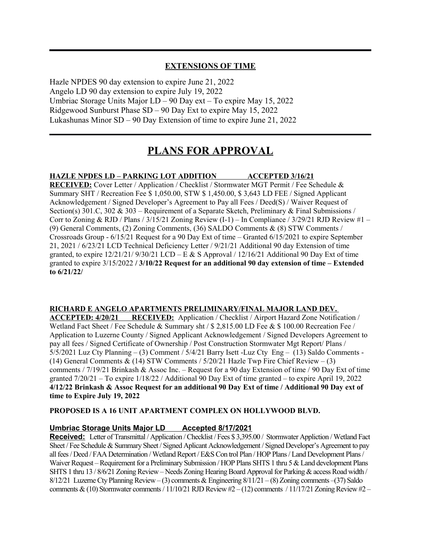## **EXTENSIONS OF TIME**

Hazle NPDES 90 day extension to expire June 21, 2022 Angelo LD 90 day extension to expire July 19, 2022 Umbriac Storage Units Major LD – 90 Day ext – To expire May 15, 2022 Ridgewood Sunburst Phase SD – 90 Day Ext to expire May 15, 2022 Lukashunas Minor SD – 90 Day Extension of time to expire June 21, 2022

# **PLANS FOR APPROVAL**

### **HAZLE NPDES LD – PARKING LOT ADDITION ACCEPTED 3/16/21**

**RECEIVED:** Cover Letter / Application / Checklist / Stormwater MGT Permit / Fee Schedule & Summary SHT / Recreation Fee \$ 1,050.00, STW \$ 1,450.00, \$ 3,643 LD FEE / Signed Applicant Acknowledgement / Signed Developer's Agreement to Pay all Fees / Deed(S) / Waiver Request of Section(s) 301.C, 302 & 303 – Requirement of a Separate Sketch, Preliminary & Final Submissions / Corr to Zoning & RJD / Plans /  $3/15/21$  Zoning Review (I-1) – In Compliance /  $3/29/21$  RJD Review #1 – (9) General Comments, (2) Zoning Comments, (36) SALDO Comments & (8) STW Comments / Crossroads Group - 6/15/21 Request for a 90 Day Ext of time – Granted 6/15/2021 to expire September 21, 2021 / 6/23/21 LCD Technical Deficiency Letter / 9/21/21 Additional 90 day Extension of time granted, to expire  $12/21/21/9/30/21$  LCD – E & S Approval /  $12/16/21$  Additional 90 Day Ext of time granted to expire 3/15/2022 **/ 3/10/22 Request for an additional 90 day extension of time – Extended to 6/21/22/** 

### **RICHARD E ANGELO APARTMENTS PRELIMINARY/FINAL MAJOR LAND DEV.**

**ACCEPTED: 4/20/21 RECEIVED:** Application / Checklist / Airport Hazard Zone Notification / Wetland Fact Sheet / Fee Schedule & Summary sht / \$ 2,815.00 LD Fee & \$ 100.00 Recreation Fee / Application to Luzerne County / Signed Applicant Acknowledgement / Signed Developers Agreement to pay all fees / Signed Certificate of Ownership / Post Construction Stormwater Mgt Report/ Plans / 5/5/2021 Luz Cty Planning – (3) Comment / 5/4/21 Barry Isett -Luz Cty Eng – (13) Saldo Comments - (14) General Comments & (14) STW Comments  $/5/20/21$  Hazle Twp Fire Chief Review – (3) comments / 7/19/21 Brinkash & Assoc Inc. – Request for a 90 day Extension of time / 90 Day Ext of time granted 7/20/21 – To expire 1/18/22 / Additional 90 Day Ext of time granted – to expire April 19, 2022 **4/12/22 Brinkash & Assoc Request for an additional 90 Day Ext of time / Additional 90 Day ext of time to Expire July 19, 2022**

#### **PROPOSED IS A 16 UNIT APARTMENT COMPLEX ON HOLLYWOOD BLVD.**

### **Umbriac Storage Units Major LD Accepted 8/17/2021**

**Received:** Letter of Transmittal / Application / Checklist / Fees \$ 3,395.00 / Stormwater Appliction / Wetland Fact Sheet / Fee Schedule & Summary Sheet / Signed Aplicant Acknowledgement / Signed Developer's Agreement to pay all fees / Deed / FAA Determination / Wetland Report / E&S Con trol Plan / HOP Plans / Land Development Plans / Waiver Request – Requirement for a Preliminary Submission / HOP Plans SHTS 1 thru 5 & Land development Plans SHTS 1 thru 13 / 8/6/21 Zoning Review – Needs Zoning Hearing Board Approval for Parking & access Road width / 8/12/21 Luzerne Cty Planning Review – (3) comments & Engineering  $8/11/21 - (8)$  Zoning comments – (37) Saldo comments & (10) Stormwater comments / 11/10/21 RJD Review  $#2 - (12)$  comments / 11/17/21 Zoning Review  $#2 -$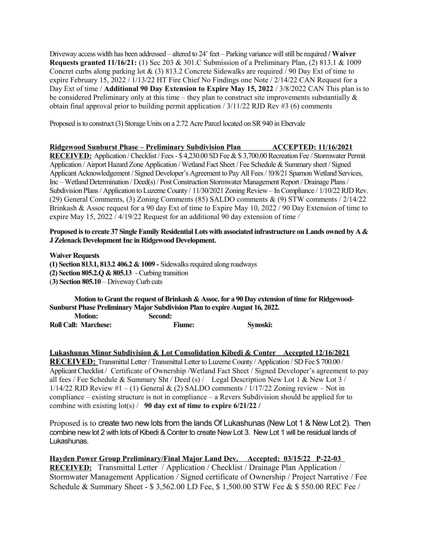Driveway access width has been addressed – altered to 24' feet – Parking variance will still be required **/ Waiver Requests granted 11/16/21:** (1) Sec 203 & 301.C Submission of a Preliminary Plan, (2) 813.1 & 1009 Concret curbs along parking lot & (3) 813.2 Concrete Sidewalks are required / 90 Day Ext of time to expire February 15, 2022 / 1/13/22 HT Fire Chief No Findings one Note / 2/14/22 CAN Request for a Day Ext of time / **Additional 90 Day Extension to Expire May 15, 2022** / 3/8/2022 CAN This plan is to be considered Preliminary only at this time – they plan to construct site improvements substantially  $\&$ obtain final approval prior to building permit application  $/ 3/11/22$  RJD Rev #3 (6) comments

Proposed is to construct (3) Storage Units on a 2.72 Acre Parcel located on SR 940 in Ebervale

### **Ridgewood Sunburst Phase – Preliminary Subdivision Plan ACCEPTED: 11/16/2021**

**RECEIVED:** Application / Checklist / Fees - \$ 4,230.00 SD Fee & \$ 3,700.00 Recreation Fee / Stormwater Permit Application / Airport Hazard Zone Application / Wetland Fact Sheet / Fee Schedule & Summary sheet / Signed Applicant Acknowledgement / Signed Developer's Agreement to Pay All Fees / !0/8/21 Sparnon Wetland Services, Inc – Wetland Determination / Deed(s) / Post Construction Stormwater Management Report / Drainage Plans / Subdivision Plans / Application to Luzerne County / 11/30/2021 Zoning Review – In Compliance / 1/10/22 RJD Rev. (29) General Comments, (3) Zoning Comments (85) SALDO comments & (9) STW comments / 2/14/22 Brinkash & Assoc request for a 90 day Ext of time to Expire May 10, 2022 / 90 Day Extension of time to expire May 15, 2022 / 4/19/22 Request for an additional 90 day extension of time /

### **Proposed is to create 37 Single Family Residential Lots with associated infrastructure on Lands owned by A & J Zelenack Development Inc in Ridgewood Development.**

**Waiver Requests** 

**(1) Section 813.1, 813.2 406.2 & 1009 -** Sidewalks required along roadways

**(2) Section 805.2.Q & 805.13** - Curbing transition

(**3) Section 805.10** – Driveway Curb cuts

**Motion to Grant the request of Brinkash & Assoc. for a 90 Day extension of time for Ridgewood-Sunburst Phase Preliminary Major Subdivision Plan to expire August 16, 2022.** 

**Motion: Second: Roll Call: Marchese: Fiume: Synoski:**

**Lukashunas Minor Subdivision & Lot Consolidation Kibedi & Conter Accepted 12/16/2021**

**RECEIVED:** Transmittal Letter / Transmittal Letter to Luzerne County / Application / SD Fee \$ 700.00 / Applicant Checklist / Certificate of Ownership /Wetland Fact Sheet / Signed Developer's agreement to pay all fees / Fee Schedule & Summary Sht / Deed (s) / Legal Description New Lot 1 & New Lot 3 /  $1/14/22$  RJD Review #1 – (1) General & (2) SALDO comments /  $1/17/22$  Zoning review – Not in compliance – existing structure is not in compliance – a Revers Subdivision should be applied for to combine with existing lot(s) / **90 day ext of time to expire 6/21/22 /** 

Proposed is to create two new lots from the lands Of Lukashunas (New Lot 1 & New Lot 2). Then combine new lot 2 with lots of Kibedi & Conter to create New Lot 3. New Lot 1 will be residual lands of Lukashunas.

**Hayden Power Group Preliminary/Final Major Land Dev. Accepted: 03/15/22 P-22-03 RECEIVED:** Transmittal Letter / Application / Checklist / Drainage Plan Application / Stormwater Management Application / Signed certificate of Ownership / Project Narrative / Fee Schedule & Summary Sheet - \$ 3,562.00 LD Fee, \$ 1,500.00 STW Fee & \$ 550.00 REC Fee /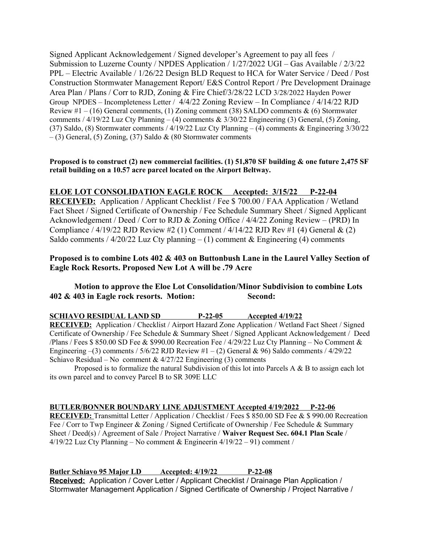Signed Applicant Acknowledgement / Signed developer's Agreement to pay all fees / Submission to Luzerne County / NPDES Application / 1/27/2022 UGI – Gas Available / 2/3/22 PPL – Electric Available / 1/26/22 Design BLD Request to HCA for Water Service / Deed / Post Construction Stormwater Management Report/ E&S Control Report / Pre Development Drainage Area Plan / Plans / Corr to RJD, Zoning & Fire Chief/3/28/22 LCD 3/28/2022 Hayden Power Group NPDES – Incompleteness Letter / 4/4/22 Zoning Review – In Compliance / 4/14/22 RJD Review  $#1 - (16)$  General comments, (1) Zoning comment (38) SALDO comments & (6) Stormwater comments / 4/19/22 Luz Cty Planning – (4) comments & 3/30/22 Engineering (3) General, (5) Zoning, (37) Saldo, (8) Stormwater comments / 4/19/22 Luz Cty Planning – (4) comments & Engineering 3/30/22  $-$  (3) General, (5) Zoning, (37) Saldo & (80 Stormwater comments

### **Proposed is to construct (2) new commercial facilities. (1) 51,870 SF building & one future 2,475 SF retail building on a 10.57 acre parcel located on the Airport Beltway.**

# **ELOE LOT CONSOLIDATION EAGLE ROCK Accepted: 3/15/22 P-22-04**

**RECEIVED:** Application / Applicant Checklist / Fee \$ 700.00 / FAA Application / Wetland Fact Sheet / Signed Certificate of Ownership / Fee Schedule Summary Sheet / Signed Applicant Acknowledgement / Deed / Corr to RJD & Zoning Office / 4/4/22 Zoning Review – (PRD) In Compliance / 4/19/22 RJD Review #2 (1) Comment / 4/14/22 RJD Rev #1 (4) General & (2) Saldo comments /  $4/20/22$  Luz Cty planning – (1) comment & Engineering (4) comments

## **Proposed is to combine Lots 402 & 403 on Buttonbush Lane in the Laurel Valley Section of Eagle Rock Resorts. Proposed New Lot A will be .79 Acre**

### **Motion to approve the Eloe Lot Consolidation/Minor Subdivision to combine Lots 402 & 403 in Eagle rock resorts. Motion: Second:**

| <b>RECEIVED:</b> Application / Checklist / Airport Hazard Zone Application / Wetland Fact Sheet / Signed |  |
|----------------------------------------------------------------------------------------------------------|--|
|                                                                                                          |  |
| Certificate of Ownership / Fee Schedule & Summary Sheet / Signed Applicant Acknowledgement / Deed        |  |
| /Plans / Fees \$ 850.00 SD Fee & \$990.00 Recreation Fee / 4/29/22 Luz Cty Planning – No Comment &       |  |
| Engineering $-(3)$ comments / 5/6/22 RJD Review #1 $-(2)$ General & 96) Saldo comments / 4/29/22         |  |
| Schiavo Residual – No comment & $4/27/22$ Engineering (3) comments                                       |  |

Proposed is to formalize the natural Subdivision of this lot into Parcels A & B to assign each lot its own parcel and to convey Parcel B to SR 309E LLC

### **BUTLER/BONNER BOUNDARY LINE ADJUSTMENT Accepted 4/19/2022 P-22-06**

**RECEIVED:** Transmittal Letter / Application / Checklist / Fees \$ 850.00 SD Fee & \$ 990.00 Recreation Fee / Corr to Twp Engineer & Zoning / Signed Certificate of Ownership / Fee Schedule & Summary Sheet / Deed(s) / Agreement of Sale / Project Narrative / **Waiver Request Sec. 604.1 Plan Scale** / 4/19/22 Luz Cty Planning – No comment & Engineerin 4/19/22 – 91) comment /

 **Butler Schiavo 95 Major LD Accepted: 4/19/22 P-22-08 Received:** Application / Cover Letter / Applicant Checklist / Drainage Plan Application / Stormwater Management Application / Signed Certificate of Ownership / Project Narrative /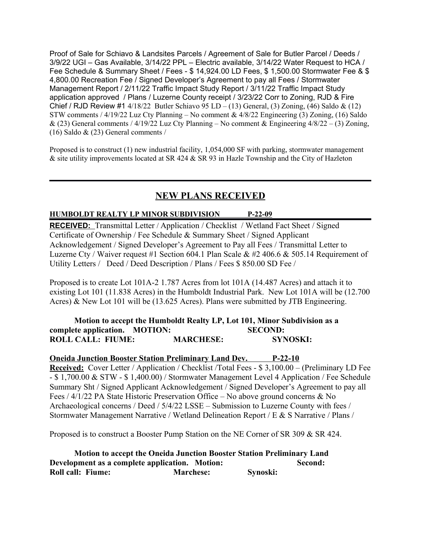Proof of Sale for Schiavo & Landsites Parcels / Agreement of Sale for Butler Parcel / Deeds / 3/9/22 UGI – Gas Available, 3/14/22 PPL – Electric available, 3/14/22 Water Request to HCA / Fee Schedule & Summary Sheet / Fees - \$ 14,924.00 LD Fees, \$ 1,500.00 Stormwater Fee & \$ 4,800.00 Recreation Fee / Signed Developer's Agreement to pay all Fees / Stormwater Management Report / 2/11/22 Traffic Impact Study Report / 3/11/22 Traffic Impact Study application approved / Plans / Luzerne County receipt / 3/23/22 Corr to Zoning, RJD & Fire Chief / RJD Review #1  $4/18/22$  Butler Schiavo 95 LD – (13) General, (3) Zoning, (46) Saldo & (12) STW comments / 4/19/22 Luz Cty Planning – No comment & 4/8/22 Engineering (3) Zoning, (16) Saldo & (23) General comments / 4/19/22 Luz Cty Planning – No comment & Engineering  $4/8/22 - (3)$  Zoning, (16) Saldo & (23) General comments /

Proposed is to construct (1) new industrial facility, 1,054,000 SF with parking, stormwater management & site utility improvements located at SR 424 & SR 93 in Hazle Township and the City of Hazleton

# **NEW PLANS RECEIVED**

## **HUMBOLDT REALTY LP MINOR SUBDIVISION P-22-09**

**RECEIVED:** Transmittal Letter / Application / Checklist / Wetland Fact Sheet / Signed Certificate of Ownership / Fee Schedule & Summary Sheet / Signed Applicant Acknowledgement / Signed Developer's Agreement to Pay all Fees / Transmittal Letter to Luzerne Cty / Waiver request #1 Section 604.1 Plan Scale & #2 406.6 & 505.14 Requirement of Utility Letters / Deed / Deed Description / Plans / Fees \$ 850.00 SD Fee /

Proposed is to create Lot 101A-2 1.787 Acres from lot 101A (14.487 Acres) and attach it to existing Lot 101 (11.838 Acres) in the Humboldt Industrial Park. New Lot 101A will be (12.700 Acres) & New Lot 101 will be (13.625 Acres). Plans were submitted by JTB Engineering.

## **Motion to accept the Humboldt Realty LP, Lot 101, Minor Subdivision as a complete application. MOTION: SECOND: ROLL CALL: FIUME: MARCHESE: SYNOSKI:**

## **Oneida Junction Booster Station Preliminary Land Dev. P-22-10**

**Received:** Cover Letter / Application / Checklist /Total Fees - \$ 3,100.00 – (Preliminary LD Fee - \$ 1,700.00 & STW - \$ 1,400.00) / Stormwater Management Level 4 Application / Fee Schedule Summary Sht / Signed Applicant Acknowledgement / Signed Developer's Agreement to pay all Fees / 4/1/22 PA State Historic Preservation Office – No above ground concerns & No Archaeological concerns / Deed / 5/4/22 LSSE – Submission to Luzerne County with fees / Stormwater Management Narrative / Wetland Delineation Report / E & S Narrative / Plans /

Proposed is to construct a Booster Pump Station on the NE Corner of SR 309 & SR 424.

**Motion to accept the Oneida Junction Booster Station Preliminary Land Development as a complete application. Motion: Second: Second: Roll call: Fiume: Marchese: Synoski:**